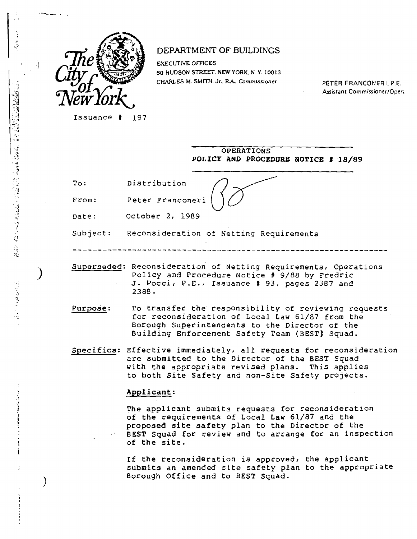

## DEPARTMENT OF BUILDINGS

**EXECUTIVE OFFICES 60 HUDSON STREET. NEW YORK N Y. 10013 CHARLES M. SMITH. Jr.. RA,** *Commissioner* PETER FRANCONERI, P.E.

Assistant Commissioner/Open

Issuance # 197

|            | OPERATIONS<br>POLICY AND PROCEDURE NOTICE # 18/89                                                                                                                          |
|------------|----------------------------------------------------------------------------------------------------------------------------------------------------------------------------|
| To:        | Distribution                                                                                                                                                               |
| $F \ncon:$ | Peter Franconeri                                                                                                                                                           |
| Date:      | October 2, 1989                                                                                                                                                            |
| Subject:   | Reconsideration of Netting Requirements                                                                                                                                    |
|            |                                                                                                                                                                            |
|            | Superseded: Reconsideration of Netting Requirements, Operations<br>Policy and Procedure Notice # 9/88 by Fredric<br>J. Pocci, P.E., Issuance # 93, pages 2387 and<br>2388. |

**Purpose:** To transfer the responsibility of reviewing requests for reconsideration of Local Law 61/87 from the **Borough** Superintendents to the Director of the Building Enforcement Safety Team (BEST) Squad.

**Specifics: Effective immediately, all requests for reconsideration are submitted to the Director of the BEST Squad with the appropriate revised plans. This applies to both Site Safety and non-Site Safety projects.** 

## Applicant:

**The** applicant submits requests for reconsideration **of the requirements of Local Law 61/87 and the proposed site safety plan to the Director of the BEST Squad for review and to arrange for an inspection of the site.** 

**If the reconsideration is approved, the applicant submits an amended site safety plan to the appropriate Borough Office and to BEST Squad.** 

 $\mathcal{L}_{\text{max}}$  and  $\mathcal{L}_{\text{max}}$  and  $\mathcal{L}_{\text{max}}$ 

医皮肤病 医皮肤病 医血管 医血管下腺瘤 医甲状腺

1

 $\frac{1}{2}$